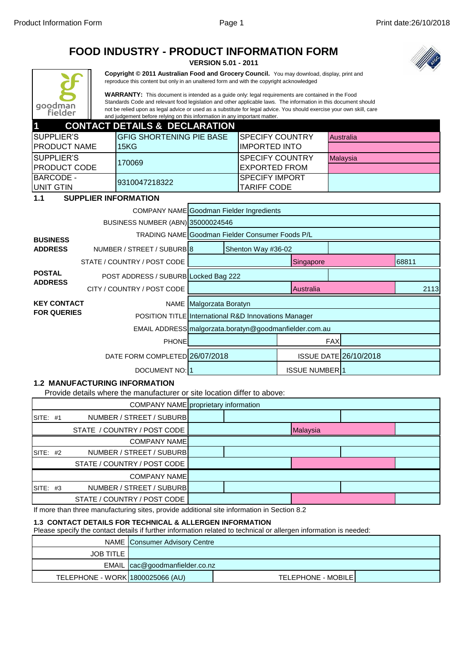|                                      |  | <b>FOOD INDUSTRY - PRODUCT INFORMATION FORM</b>                                                                                                                                                                                                                                                                                                                                                                                   | <b>VERSION 5.01 - 2011</b>                           |                                             |                      |                  |  |       |
|--------------------------------------|--|-----------------------------------------------------------------------------------------------------------------------------------------------------------------------------------------------------------------------------------------------------------------------------------------------------------------------------------------------------------------------------------------------------------------------------------|------------------------------------------------------|---------------------------------------------|----------------------|------------------|--|-------|
|                                      |  | Copyright © 2011 Australian Food and Grocery Council. You may download, display, print and<br>reproduce this content but only in an unaltered form and with the copyright acknowledged                                                                                                                                                                                                                                            |                                                      |                                             |                      |                  |  |       |
| goodman<br>fielder                   |  | <b>WARRANTY:</b> This document is intended as a guide only: legal requirements are contained in the Food<br>Standards Code and relevant food legislation and other applicable laws. The information in this document should<br>not be relied upon as legal advice or used as a substitute for legal advice. You should exercise your own skill, care<br>and judgement before relying on this information in any important matter. |                                                      |                                             |                      |                  |  |       |
| 1                                    |  | <b>CONTACT DETAILS &amp; DECLARATION</b>                                                                                                                                                                                                                                                                                                                                                                                          |                                                      |                                             |                      |                  |  |       |
| SUPPLIER'S                           |  | <b>GFIG SHORTENING PIE BASE</b>                                                                                                                                                                                                                                                                                                                                                                                                   |                                                      | <b>SPECIFY COUNTRY</b>                      |                      | <b>Australia</b> |  |       |
| PRODUCT NAME                         |  | 15KG                                                                                                                                                                                                                                                                                                                                                                                                                              |                                                      | <b>IMPORTED INTO</b>                        |                      |                  |  |       |
| <b>SUPPLIER'S</b>                    |  | 170069                                                                                                                                                                                                                                                                                                                                                                                                                            |                                                      | <b>SPECIFY COUNTRY</b>                      |                      | Malaysia         |  |       |
| PRODUCT CODE                         |  |                                                                                                                                                                                                                                                                                                                                                                                                                                   |                                                      | <b>EXPORTED FROM</b>                        |                      |                  |  |       |
| <b>BARCODE -</b><br><b>UNIT GTIN</b> |  | 9310047218322                                                                                                                                                                                                                                                                                                                                                                                                                     |                                                      | <b>SPECIFY IMPORT</b><br><b>TARIFF CODE</b> |                      |                  |  |       |
| 1.1                                  |  | <b>SUPPLIER INFORMATION</b>                                                                                                                                                                                                                                                                                                                                                                                                       |                                                      |                                             |                      |                  |  |       |
|                                      |  | COMPANY NAME Goodman Fielder Ingredients                                                                                                                                                                                                                                                                                                                                                                                          |                                                      |                                             |                      |                  |  |       |
|                                      |  | BUSINESS NUMBER (ABN) 35000024546                                                                                                                                                                                                                                                                                                                                                                                                 |                                                      |                                             |                      |                  |  |       |
|                                      |  |                                                                                                                                                                                                                                                                                                                                                                                                                                   | TRADING NAME Goodman Fielder Consumer Foods P/L      |                                             |                      |                  |  |       |
| <b>BUSINESS</b><br><b>ADDRESS</b>    |  | NUMBER / STREET / SUBURBI8                                                                                                                                                                                                                                                                                                                                                                                                        | Shenton Way #36-02                                   |                                             |                      |                  |  |       |
|                                      |  | STATE / COUNTRY / POST CODE                                                                                                                                                                                                                                                                                                                                                                                                       |                                                      |                                             | Singapore            |                  |  | 68811 |
| <b>POSTAL</b><br><b>ADDRESS</b>      |  | POST ADDRESS / SUBURB Locked Bag 222<br>CITY / COUNTRY / POST CODE                                                                                                                                                                                                                                                                                                                                                                |                                                      |                                             |                      |                  |  |       |
|                                      |  |                                                                                                                                                                                                                                                                                                                                                                                                                                   |                                                      |                                             | Australia            |                  |  | 2113  |
| <b>KEY CONTACT</b>                   |  |                                                                                                                                                                                                                                                                                                                                                                                                                                   | NAME Malgorzata Boratyn                              |                                             |                      |                  |  |       |
| <b>FOR QUERIES</b>                   |  |                                                                                                                                                                                                                                                                                                                                                                                                                                   | POSITION TITLE International R&D Innovations Manager |                                             |                      |                  |  |       |
|                                      |  | EMAIL ADDRESS malgorzata.boratyn@goodmanfielder.com.au                                                                                                                                                                                                                                                                                                                                                                            |                                                      |                                             |                      |                  |  |       |
| <b>PHONE</b>                         |  |                                                                                                                                                                                                                                                                                                                                                                                                                                   |                                                      |                                             |                      | <b>FAX</b>       |  |       |
| DATE FORM COMPLETED 26/07/2018       |  | <b>ISSUE DATE 26/10/2018</b>                                                                                                                                                                                                                                                                                                                                                                                                      |                                                      |                                             |                      |                  |  |       |
| DOCUMENT NO: 1                       |  |                                                                                                                                                                                                                                                                                                                                                                                                                                   |                                                      |                                             | <b>ISSUE NUMBER1</b> |                  |  |       |
|                                      |  | <b>1.2 MANUFACTURING INFORMATION</b><br>Drovido detaile where the manufacturer er eite legetien differ to eboye:                                                                                                                                                                                                                                                                                                                  |                                                      |                                             |                      |                  |  |       |

Provide details where the manufacturer or site location differ to above:

|                | COMPANY NAME proprietary information |  |          |  |
|----------------|--------------------------------------|--|----------|--|
| ISTE: #1       | NUMBER / STREET / SUBURB             |  |          |  |
|                | STATE / COUNTRY / POST CODE          |  | Malaysia |  |
|                | <b>COMPANY NAMEL</b>                 |  |          |  |
| ISTE: #2       | NUMBER / STREET / SUBURB             |  |          |  |
|                | STATE / COUNTRY / POST CODE          |  |          |  |
|                | <b>COMPANY NAME</b>                  |  |          |  |
| $I$ SITE: $#3$ | NUMBER / STREET / SUBURB             |  |          |  |
|                | STATE / COUNTRY / POST CODE          |  |          |  |

If more than three manufacturing sites, provide additional site information in Section 8.2

#### **1.3 CONTACT DETAILS FOR TECHNICAL & ALLERGEN INFORMATION**

Please specify the contact details if further information related to technical or allergen information is needed:

|                                  | NAME Consumer Advisory Centre  |                            |  |
|----------------------------------|--------------------------------|----------------------------|--|
| <b>JOB TITLE</b>                 |                                |                            |  |
|                                  | EMAIL cac@goodmanfielder.co.nz |                            |  |
| TELEPHONE - WORK 1800025066 (AU) |                                | <b>TELEPHONE - MOBILEI</b> |  |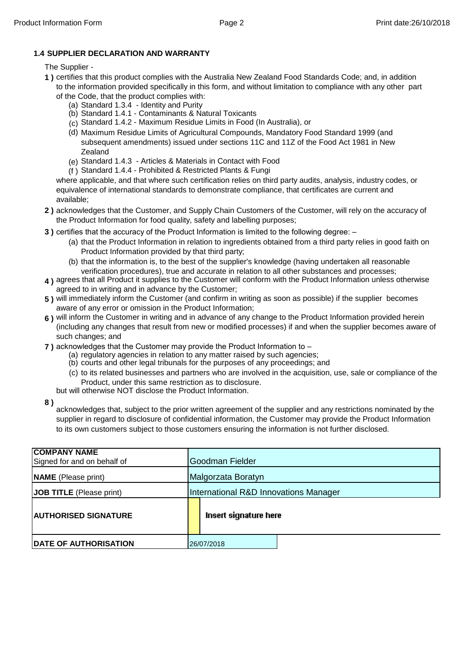#### **1.4 SUPPLIER DECLARATION AND WARRANTY**

#### The Supplier -

- **1 )** certifies that this product complies with the Australia New Zealand Food Standards Code; and, in addition to the information provided specifically in this form, and without limitation to compliance with any other part
	- of the Code, that the product complies with:
		- (a) Standard 1.3.4 Identity and Purity (b) Standard 1.4.1 - Contaminants & Natural Toxicants
		- (c) Standard 1.4.2 Maximum Residue Limits in Food (In Australia), or
		- (d) Maximum Residue Limits of Agricultural Compounds, Mandatory Food Standard 1999 (and subsequent amendments) issued under sections 11C and 11Z of the Food Act 1981 in New Zealand
		- (e) Standard 1.4.3 Articles & Materials in Contact with Food
		- (f ) Standard 1.4.4 Prohibited & Restricted Plants & Fungi

where applicable, and that where such certification relies on third party audits, analysis, industry codes, or equivalence of international standards to demonstrate compliance, that certificates are current and available;

- **2 )** acknowledges that the Customer, and Supply Chain Customers of the Customer, will rely on the accuracy of the Product Information for food quality, safety and labelling purposes;
- **3)** certifies that the accuracy of the Product Information is limited to the following degree:  $-$ 
	- (a) that the Product Information in relation to ingredients obtained from a third party relies in good faith on Product Information provided by that third party;
	- (b) that the information is, to the best of the supplier's knowledge (having undertaken all reasonable verification procedures), true and accurate in relation to all other substances and processes;
- **4 )** agrees that all Product it supplies to the Customer will conform with the Product Information unless otherwise agreed to in writing and in advance by the Customer;
- **5 )** will immediately inform the Customer (and confirm in writing as soon as possible) if the supplier becomes aware of any error or omission in the Product Information;
- **6 )** will inform the Customer in writing and in advance of any change to the Product Information provided herein (including any changes that result from new or modified processes) if and when the supplier becomes aware of such changes; and
- **7 )** acknowledges that the Customer may provide the Product Information to
	- (a) regulatory agencies in relation to any matter raised by such agencies;
	- (b) courts and other legal tribunals for the purposes of any proceedings; and
	- (c) to its related businesses and partners who are involved in the acquisition, use, sale or compliance of the Product, under this same restriction as to disclosure.

but will otherwise NOT disclose the Product Information.

**8 )**

acknowledges that, subject to the prior written agreement of the supplier and any restrictions nominated by the supplier in regard to disclosure of confidential information, the Customer may provide the Product Information to its own customers subject to those customers ensuring the information is not further disclosed.

| <b>COMPANY NAME</b><br>Signed for and on behalf of | Goodman Fielder                       |
|----------------------------------------------------|---------------------------------------|
| <b>NAME</b> (Please print)                         | Malgorzata Boratyn                    |
| <b>JOB TITLE</b> (Please print)                    | International R&D Innovations Manager |
| <b>IAUTHORISED SIGNATURE</b>                       | Insert signature here                 |
| <b>DATE OF AUTHORISATION</b>                       | 26/07/2018                            |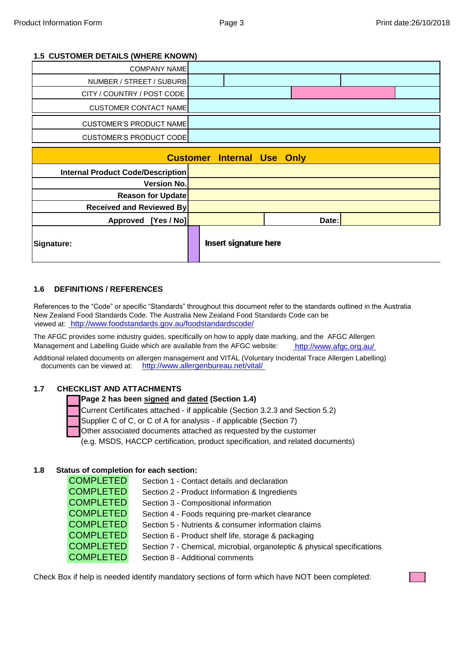#### **1.5 CUSTOMER DETAILS (WHERE KNOWN)**

| <b>COMPANY NAME</b>               |                                   |       |
|-----------------------------------|-----------------------------------|-------|
| NUMBER / STREET / SUBURB          |                                   |       |
| CITY / COUNTRY / POST CODE        |                                   |       |
| <b>CUSTOMER CONTACT NAME</b>      |                                   |       |
| <b>CUSTOMER'S PRODUCT NAME</b>    |                                   |       |
| <b>CUSTOMER'S PRODUCT CODE</b>    |                                   |       |
|                                   |                                   |       |
|                                   | <b>Customer Internal Use Only</b> |       |
| Internal Product Code/Description |                                   |       |
| <b>Version No.</b>                |                                   |       |
| <b>Reason for Update</b>          |                                   |       |
| <b>Received and Reviewed By</b>   |                                   |       |
| Approved [Yes / No]               |                                   | Date: |

#### **1.6 DEFINITIONS / REFERENCES**

References to the "Code" or specific "Standards" throughout this document refer to the standards outlined in the Australia New Zealand Food Standards Code. The Australia New Zealand Food Standards Code can be viewed at: [http](http://www.foodstandards.gov.au/foodstandardscode/)://www.foodstandards.gov.au/foodstandardscode/

The AFGC provides some industry guides, specifically on how to apply date marking, and the AFGC Allergen Management and Labelling Guide which are available from the AFGC website: [htt](http://www.afgc.org.au/)p://www.afgc.org.au/

Additional related documents on allergen management and VITAL (Voluntary Incidental Trace Allergen Labelling) documents can be viewed at: [http](http://www.allergenbureau.net/vital/)://www.allergenbureau.net/vital/

#### **1.7 CHECKLIST AND ATTACHMENTS**

#### **Page 2 has been signed and dated (Section 1.4)**

Current Certificates attached - if applicable (Section 3.2.3 and Section 5.2)

Supplier C of C, or C of A for analysis - if applicable (Section 7)

Other associated documents attached as requested by the customer

(e.g. MSDS, HACCP certification, product specification, and related documents)

#### **1.8 Status of completion for each section:**

| <b>COMPLETED</b> | Section 1 - Contact details and declaration                             |
|------------------|-------------------------------------------------------------------------|
| <b>COMPLETED</b> | Section 2 - Product Information & Ingredients                           |
| <b>COMPLETED</b> | Section 3 - Compositional information                                   |
| <b>COMPLETED</b> | Section 4 - Foods requiring pre-market clearance                        |
| <b>COMPLETED</b> | Section 5 - Nutrients & consumer information claims                     |
| <b>COMPLETED</b> | Section 6 - Product shelf life, storage & packaging                     |
| <b>COMPLETED</b> | Section 7 - Chemical, microbial, organoleptic & physical specifications |
| <b>COMPLETED</b> | Section 8 - Additional comments                                         |

Check Box if help is needed identify mandatory sections of form which have NOT been completed: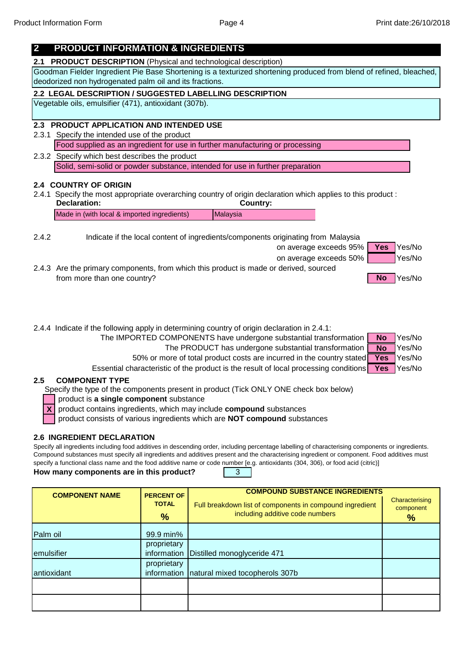#### **2 PRODUCT INFORMATION & INGREDIENTS**

**2.1 PRODUCT DESCRIPTION** (Physical and technological description)

Goodman Fielder Ingredient Pie Base Shortening is a texturized shortening produced from blend of refined, bleached, deodorized non hydrogenated palm oil and its fractions.

#### **2.2 LEGAL DESCRIPTION / SUGGESTED LABELLING DESCRIPTION**

Vegetable oils, emulsifier (471), antioxidant (307b).

#### **2.3 PRODUCT APPLICATION AND INTENDED USE**

- 2.3.1 Specify the intended use of the product Food supplied as an ingredient for use in further manufacturing or processing
- 2.3.2 Specify which best describes the product Solid, semi-solid or powder substance, intended for use in further preparation

#### **2.4 COUNTRY OF ORIGIN**

2.4.1 Specify the most appropriate overarching country of origin declaration which applies to this product : **Declaration: Country:**

Made in (with local & imported ingredients) Malaysia

2.4.2 Indicate if the local content of ingredients/components originating from Malaysia

on average exceeds 95% | Yes | Yes/No



2.4.3 Are the primary components, from which this product is made or derived, sourced from more than one country? The state of the state of the state of the state of the state of the state of the state of the state of the state of the state of the state of the state of the state of the state of the state of

**No**

2.4.4 Indicate if the following apply in determining country of origin declaration in 2.4.1:

- The IMPORTED COMPONENTS have undergone substantial transformation **No** Yes/No **No**
	- The PRODUCT has undergone substantial transformation Yes/No **No**
	- 50% or more of total product costs are incurred in the country stated **Yes** Yes/No **Yes**
- Essential characteristic of the product is the result of local processing conditions **Yes** Yes/No **Yes**

#### **COMPONENT TYPE 2.5**

Specify the type of the components present in product (Tick ONLY ONE check box below)

product is **a single component** substance

**X** product contains ingredients, which may include **compound** substances

product consists of various ingredients which are **NOT compound** substances

#### **2.6 INGREDIENT DECLARATION**

Specify all ingredients including food additives in descending order, including percentage labelling of characterising components or ingredients. Compound substances must specify all ingredients and additives present and the characterising ingredient or component. Food additives must specify a functional class name and the food additive name or code number [e.g. antioxidants (304, 306), or food acid (citric)]

**How many components are in this product?** 3

| <b>PERCENT OF</b><br><b>COMPONENT NAME</b><br><b>TOTAL</b><br>$\%$ |             | <b>COMPOUND SUBSTANCE INGREDIENTS</b><br>Full breakdown list of components in compound ingredient<br>including additive code numbers | Characterising<br>component<br>% |  |
|--------------------------------------------------------------------|-------------|--------------------------------------------------------------------------------------------------------------------------------------|----------------------------------|--|
| Palm oil                                                           | 99.9 min%   |                                                                                                                                      |                                  |  |
|                                                                    | proprietary |                                                                                                                                      |                                  |  |
| emulsifier                                                         | information | Distilled monoglyceride 471                                                                                                          |                                  |  |
|                                                                    | proprietary |                                                                                                                                      |                                  |  |
| antioxidant                                                        | information | natural mixed tocopherols 307b                                                                                                       |                                  |  |
|                                                                    |             |                                                                                                                                      |                                  |  |
|                                                                    |             |                                                                                                                                      |                                  |  |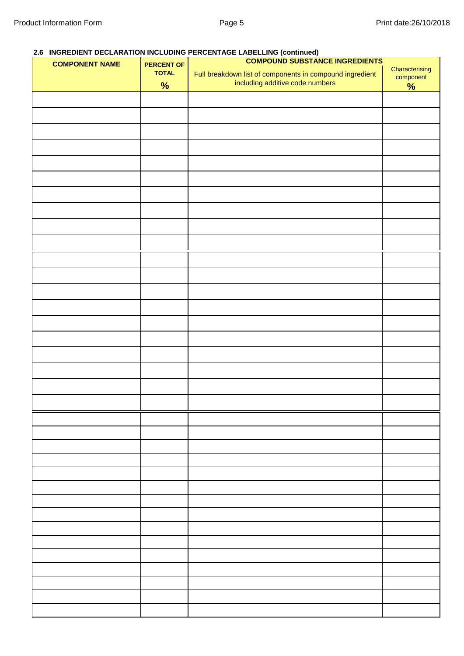#### **2.6 INGREDIENT DECLARATION INCLUDING PERCENTAGE LABELLING (continued)**

| <b>COMPONENT NAME</b> | <b>PERCENT OF</b> | <b>COMPOUND SUBSTANCE INGREDIENTS</b>                    |                             |
|-----------------------|-------------------|----------------------------------------------------------|-----------------------------|
|                       | <b>TOTAL</b>      | Full breakdown list of components in compound ingredient | Characterising<br>component |
|                       | $\%$              | including additive code numbers                          | $\frac{9}{6}$               |
|                       |                   |                                                          |                             |
|                       |                   |                                                          |                             |
|                       |                   |                                                          |                             |
|                       |                   |                                                          |                             |
|                       |                   |                                                          |                             |
|                       |                   |                                                          |                             |
|                       |                   |                                                          |                             |
|                       |                   |                                                          |                             |
|                       |                   |                                                          |                             |
|                       |                   |                                                          |                             |
|                       |                   |                                                          |                             |
|                       |                   |                                                          |                             |
|                       |                   |                                                          |                             |
|                       |                   |                                                          |                             |
|                       |                   |                                                          |                             |
|                       |                   |                                                          |                             |
|                       |                   |                                                          |                             |
|                       |                   |                                                          |                             |
|                       |                   |                                                          |                             |
|                       |                   |                                                          |                             |
|                       |                   |                                                          |                             |
|                       |                   |                                                          |                             |
|                       |                   |                                                          |                             |
|                       |                   |                                                          |                             |
|                       |                   |                                                          |                             |
|                       |                   |                                                          |                             |
|                       |                   |                                                          |                             |
|                       |                   |                                                          |                             |
|                       |                   |                                                          |                             |
|                       |                   |                                                          |                             |
|                       |                   |                                                          |                             |
|                       |                   |                                                          |                             |
|                       |                   |                                                          |                             |
|                       |                   |                                                          |                             |
|                       |                   |                                                          |                             |
|                       |                   |                                                          |                             |
|                       |                   |                                                          |                             |
|                       |                   |                                                          |                             |
|                       |                   |                                                          |                             |
|                       |                   |                                                          |                             |
|                       |                   |                                                          |                             |
|                       |                   |                                                          |                             |
|                       |                   |                                                          |                             |
|                       |                   |                                                          |                             |
|                       |                   |                                                          |                             |
|                       |                   |                                                          |                             |
|                       |                   |                                                          |                             |
|                       |                   |                                                          |                             |
|                       |                   |                                                          |                             |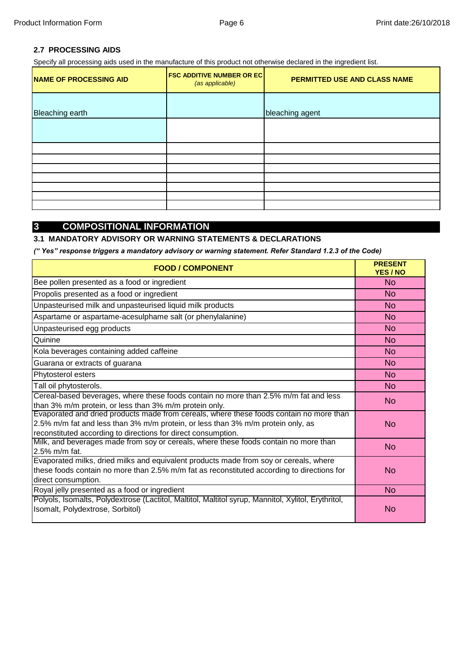#### **2.7 PROCESSING AIDS**

Specify all processing aids used in the manufacture of this product not otherwise declared in the ingredient list.

| <b>NAME OF PROCESSING AID</b> | <b>FSC ADDITIVE NUMBER OR EC</b><br>(as applicable) | PERMITTED USE AND CLASS NAME |
|-------------------------------|-----------------------------------------------------|------------------------------|
| Bleaching earth               |                                                     | bleaching agent              |
|                               |                                                     |                              |
|                               |                                                     |                              |
|                               |                                                     |                              |
|                               |                                                     |                              |
|                               |                                                     |                              |
|                               |                                                     |                              |
|                               |                                                     |                              |
|                               |                                                     |                              |

#### **3 COMPOSITIONAL INFORMATION**

#### **3.1 MANDATORY ADVISORY OR WARNING STATEMENTS & DECLARATIONS**

#### *(" Yes" response triggers a mandatory advisory or warning statement. Refer Standard 1.2.3 of the Code)*

| <b>FOOD / COMPONENT</b>                                                                                                                                                                                                                     | <b>PRESENT</b><br><b>YES/NO</b> |
|---------------------------------------------------------------------------------------------------------------------------------------------------------------------------------------------------------------------------------------------|---------------------------------|
| Bee pollen presented as a food or ingredient                                                                                                                                                                                                | <b>No</b>                       |
| Propolis presented as a food or ingredient                                                                                                                                                                                                  | No                              |
| Unpasteurised milk and unpasteurised liquid milk products                                                                                                                                                                                   | <b>No</b>                       |
| Aspartame or aspartame-acesulphame salt (or phenylalanine)                                                                                                                                                                                  | <b>No</b>                       |
| Unpasteurised egg products                                                                                                                                                                                                                  | <b>No</b>                       |
| Quinine                                                                                                                                                                                                                                     | <b>No</b>                       |
| Kola beverages containing added caffeine                                                                                                                                                                                                    | <b>No</b>                       |
| Guarana or extracts of guarana                                                                                                                                                                                                              | <b>No</b>                       |
| Phytosterol esters                                                                                                                                                                                                                          | <b>No</b>                       |
| Tall oil phytosterols.                                                                                                                                                                                                                      | <b>No</b>                       |
| Cereal-based beverages, where these foods contain no more than 2.5% m/m fat and less<br>than 3% m/m protein, or less than 3% m/m protein only.                                                                                              | <b>No</b>                       |
| Evaporated and dried products made from cereals, where these foods contain no more than<br>2.5% m/m fat and less than 3% m/m protein, or less than 3% m/m protein only, as<br>reconstituted according to directions for direct consumption. | <b>No</b>                       |
| Milk, and beverages made from soy or cereals, where these foods contain no more than<br>2.5% m/m fat.                                                                                                                                       | No                              |
| Evaporated milks, dried milks and equivalent products made from soy or cereals, where<br>these foods contain no more than 2.5% m/m fat as reconstituted according to directions for<br>direct consumption.                                  | <b>No</b>                       |
| Royal jelly presented as a food or ingredient                                                                                                                                                                                               | <b>No</b>                       |
| Polyols, Isomalts, Polydextrose (Lactitol, Maltitol, Maltitol syrup, Mannitol, Xylitol, Erythritol,<br>Isomalt, Polydextrose, Sorbitol)                                                                                                     | No                              |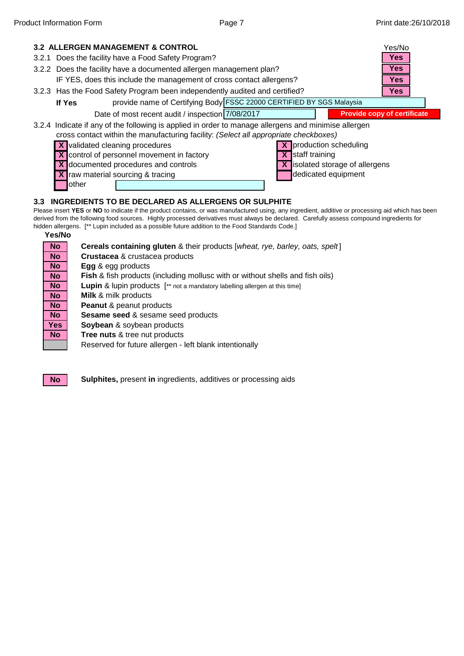other

|        | <b>3.2 ALLERGEN MANAGEMENT &amp; CONTROL</b>                                                         |                         |                                    | Yes/No     |  |
|--------|------------------------------------------------------------------------------------------------------|-------------------------|------------------------------------|------------|--|
|        | 3.2.1 Does the facility have a Food Safety Program?                                                  |                         |                                    | Yes        |  |
|        | 3.2.2 Does the facility have a documented allergen management plan?                                  |                         |                                    | <b>Yes</b> |  |
|        | IF YES, does this include the management of cross contact allergens?                                 |                         |                                    | <b>Yes</b> |  |
|        | 3.2.3 Has the Food Safety Program been independently audited and certified?                          |                         |                                    | <b>Yes</b> |  |
| If Yes | provide name of Certifying Body FSSC 22000 CERTIFIED BY SGS Malaysia                                 |                         |                                    |            |  |
|        | Date of most recent audit / inspection 7/08/2017                                                     |                         | <b>Provide copy of certificate</b> |            |  |
|        | 3.2.4 Indicate if any of the following is applied in order to manage allergens and minimise allergen |                         |                                    |            |  |
|        | cross contact within the manufacturing facility: (Select all appropriate checkboxes)                 |                         |                                    |            |  |
|        | X validated cleaning procedures                                                                      |                         | <b>X</b> production scheduling     |            |  |
|        | X control of personnel movement in factory                                                           | <b>X</b> staff training |                                    |            |  |
|        | X documented procedures and controls                                                                 |                         | X isolated storage of allergens    |            |  |
|        | X raw material sourcing & tracing                                                                    |                         | dedicated equipment                |            |  |

#### **3.3 INGREDIENTS TO BE DECLARED AS ALLERGENS OR SULPHITE**

**Yes/No** Please insert YES or NO to indicate if the product contains, or was manufactured using, any ingredient, additive or processing aid which has been derived from the following food sources. Highly processed derivatives must always be declared. Carefully assess compound ingredients for hidden allergens. [\*\* Lupin included as a possible future addition to the Food Standards Code.]

**Cereals containing gluten** & their products [*wheat, rye, barley, oats, spelt* ] **Crustacea** & crustacea products **Egg** & egg products **Fish** & fish products (including mollusc with or without shells and fish oils) **Lupin** & lupin products [\*\* not a mandatory labelling allergen at this time] **Milk** & milk products **Peanut** & peanut products **Sesame seed** & sesame seed products **Soybean** & soybean products **Tree nuts** & tree nut products Reserved for future allergen - left blank intentionally **No No No No No No No No Yes No**

**No Sulphites, present in ingredients, additives or processing aids**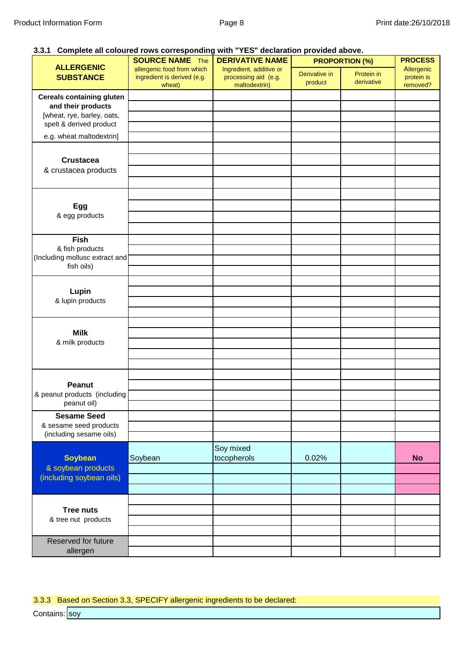#### **3.3.1 Complete all coloured rows corresponding with "YES" declaration provided above.**

|                                                                                                                 | <b>SOURCE NAME</b> The                                              | <b>DERIVATIVE NAME</b>                                           | <b>PROPORTION (%)</b>    | <b>PROCESS</b>           |                                      |  |
|-----------------------------------------------------------------------------------------------------------------|---------------------------------------------------------------------|------------------------------------------------------------------|--------------------------|--------------------------|--------------------------------------|--|
| <b>ALLERGENIC</b><br><b>SUBSTANCE</b>                                                                           | allergenic food from which<br>ingredient is derived (e.g.<br>wheat) | Ingredient, additive or<br>processing aid (e.g.<br>maltodextrin) | Derivative in<br>product | Protein in<br>derivative | Allergenic<br>protein is<br>removed? |  |
| <b>Cereals containing gluten</b><br>and their products<br>[wheat, rye, barley, oats,<br>spelt & derived product |                                                                     |                                                                  |                          |                          |                                      |  |
| e.g. wheat maltodextrin]                                                                                        |                                                                     |                                                                  |                          |                          |                                      |  |
| <b>Crustacea</b><br>& crustacea products                                                                        |                                                                     |                                                                  |                          |                          |                                      |  |
| Egg<br>& egg products                                                                                           |                                                                     |                                                                  |                          |                          |                                      |  |
| Fish                                                                                                            |                                                                     |                                                                  |                          |                          |                                      |  |
| & fish products<br>(Including mollusc extract and<br>fish oils)                                                 |                                                                     |                                                                  |                          |                          |                                      |  |
| Lupin<br>& lupin products                                                                                       |                                                                     |                                                                  |                          |                          |                                      |  |
|                                                                                                                 |                                                                     |                                                                  |                          |                          |                                      |  |
| <b>Milk</b><br>& milk products                                                                                  |                                                                     |                                                                  |                          |                          |                                      |  |
| Peanut<br>& peanut products (including<br>peanut oil)                                                           |                                                                     |                                                                  |                          |                          |                                      |  |
| <b>Sesame Seed</b><br>& sesame seed products<br>(including sesame oils)                                         |                                                                     |                                                                  |                          |                          |                                      |  |
| <b>Soybean</b><br>& soybean products<br>(including soybean oils)                                                | Soybean                                                             | Soy mixed<br>tocopherols                                         | 0.02%                    |                          | <b>No</b>                            |  |
| <b>Tree nuts</b><br>& tree nut products                                                                         |                                                                     |                                                                  |                          |                          |                                      |  |
| Reserved for future<br>allergen                                                                                 |                                                                     |                                                                  |                          |                          |                                      |  |

3.3.3 Based on Section 3.3, SPECIFY allergenic ingredients to be declared:

Contains: soy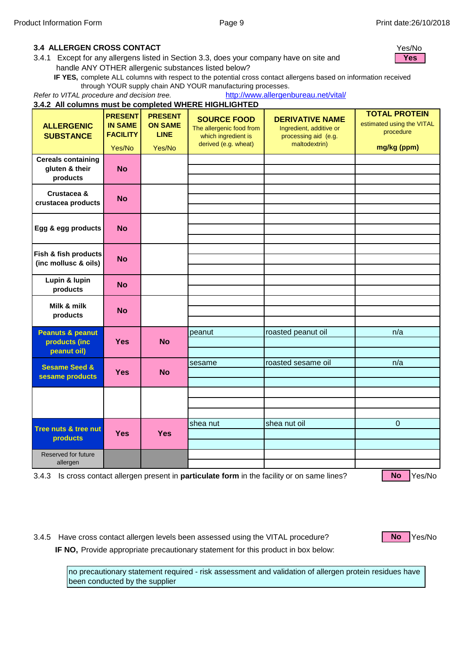#### **IF 3.4 ALLERGEN CROSS CONTACT** Yes/No

**N** 3.4.1 Except for any allergens listed in Section 3.3, does your company have on site and handle ANY OTHER allergenic substances listed below?

**IF YES,** complete ALL columns with respect to the potential cross contact allergens based on information received through YOUR supply chain AND YOUR manufacturing processes.

*Refer to VITAL procedure and decision tree.*  [http](http://www.allergenbureau.net/vital/)://www.allergenbureau.net/vital/

|                                                             | 3.4.2 All columns must be completed WHERE HIGHLIGHTED         |                                                           |                                                                                               |                                                                                            |                                                                               |  |  |  |  |
|-------------------------------------------------------------|---------------------------------------------------------------|-----------------------------------------------------------|-----------------------------------------------------------------------------------------------|--------------------------------------------------------------------------------------------|-------------------------------------------------------------------------------|--|--|--|--|
| <b>ALLERGENIC</b><br><b>SUBSTANCE</b>                       | <b>PRESENT</b><br><b>IN SAME</b><br><b>FACILITY</b><br>Yes/No | <b>PRESENT</b><br><b>ON SAME</b><br><b>LINE</b><br>Yes/No | <b>SOURCE FOOD</b><br>The allergenic food from<br>which ingredient is<br>derived (e.g. wheat) | <b>DERIVATIVE NAME</b><br>Ingredient, additive or<br>processing aid (e.g.<br>maltodextrin) | <b>TOTAL PROTEIN</b><br>estimated using the VITAL<br>procedure<br>mg/kg (ppm) |  |  |  |  |
| <b>Cereals containing</b><br>gluten & their<br>products     | <b>No</b>                                                     |                                                           |                                                                                               |                                                                                            |                                                                               |  |  |  |  |
| Crustacea &<br>crustacea products                           | <b>No</b>                                                     |                                                           |                                                                                               |                                                                                            |                                                                               |  |  |  |  |
| Egg & egg products                                          | <b>No</b>                                                     |                                                           |                                                                                               |                                                                                            |                                                                               |  |  |  |  |
| Fish & fish products<br>(inc mollusc & oils)                | <b>No</b>                                                     |                                                           |                                                                                               |                                                                                            |                                                                               |  |  |  |  |
| Lupin & lupin<br>products                                   | <b>No</b>                                                     |                                                           |                                                                                               |                                                                                            |                                                                               |  |  |  |  |
| Milk & milk<br>products                                     | <b>No</b>                                                     |                                                           |                                                                                               |                                                                                            |                                                                               |  |  |  |  |
| <b>Peanuts &amp; peanut</b><br>products (inc<br>peanut oil) | <b>Yes</b>                                                    | <b>No</b>                                                 | peanut                                                                                        | roasted peanut oil                                                                         | n/a                                                                           |  |  |  |  |
| <b>Sesame Seed &amp;</b><br>sesame products                 | <b>Yes</b>                                                    | <b>No</b>                                                 | sesame                                                                                        | roasted sesame oil                                                                         | n/a                                                                           |  |  |  |  |
|                                                             |                                                               |                                                           |                                                                                               |                                                                                            |                                                                               |  |  |  |  |
| Tree nuts & tree nut<br>products                            | <b>Yes</b>                                                    | <b>Yes</b>                                                | shea nut                                                                                      | shea nut oil                                                                               | $\mathbf 0$                                                                   |  |  |  |  |
| Reserved for future<br>allergen                             |                                                               |                                                           |                                                                                               |                                                                                            |                                                                               |  |  |  |  |

3.4.3 Is cross contact allergen present in **particulate form** in the facility or on same lines? No Yes/No

**No**

3.4.5 Have cross contact allergen levels been assessed using the VITAL procedure?

**No**

**IF NO,** Provide appropriate precautionary statement for this product in box below:

no precautionary statement required - risk assessment and validation of allergen protein residues have been conducted by the supplier

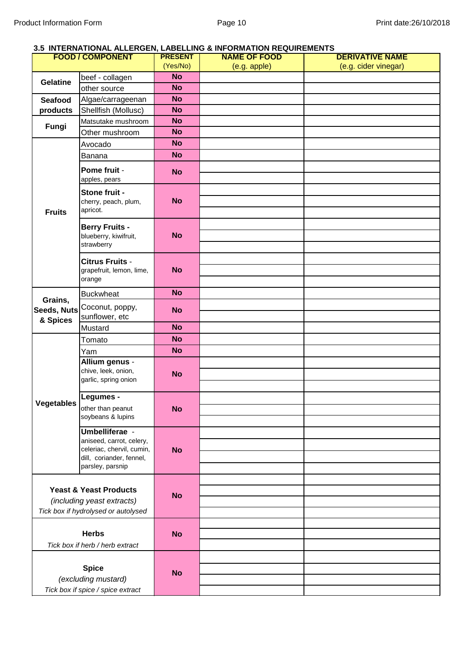#### **3.5 INTERNATIONAL ALLERGEN, LABELLING & INFORMATION REQUIREMENTS**

| <b>FOOD / COMPONENT</b>                                                                                |                                                                                                                         | <b>PRESENT</b> | <b>NAME OF FOOD</b> | <b>DERIVATIVE NAME</b> |
|--------------------------------------------------------------------------------------------------------|-------------------------------------------------------------------------------------------------------------------------|----------------|---------------------|------------------------|
|                                                                                                        |                                                                                                                         | (Yes/No)       | (e.g. apple)        | (e.g. cider vinegar)   |
| <b>Gelatine</b>                                                                                        | beef - collagen                                                                                                         | <b>No</b>      |                     |                        |
|                                                                                                        | other source                                                                                                            | <b>No</b>      |                     |                        |
| <b>Seafood</b>                                                                                         | Algae/carrageenan                                                                                                       | <b>No</b>      |                     |                        |
| products                                                                                               | Shellfish (Mollusc)                                                                                                     | <b>No</b>      |                     |                        |
| Fungi                                                                                                  | Matsutake mushroom                                                                                                      | <b>No</b>      |                     |                        |
|                                                                                                        | Other mushroom                                                                                                          | <b>No</b>      |                     |                        |
|                                                                                                        | Avocado                                                                                                                 | <b>No</b>      |                     |                        |
|                                                                                                        | Banana                                                                                                                  | <b>No</b>      |                     |                        |
|                                                                                                        | Pome fruit -<br>apples, pears                                                                                           | <b>No</b>      |                     |                        |
| <b>Fruits</b>                                                                                          | Stone fruit -<br>cherry, peach, plum,<br>apricot.                                                                       | <b>No</b>      |                     |                        |
|                                                                                                        | <b>Berry Fruits -</b><br>blueberry, kiwifruit,<br>strawberry                                                            | <b>No</b>      |                     |                        |
|                                                                                                        | <b>Citrus Fruits -</b><br>grapefruit, lemon, lime,<br>orange                                                            | <b>No</b>      |                     |                        |
|                                                                                                        | <b>Buckwheat</b>                                                                                                        | <b>No</b>      |                     |                        |
| Grains,<br>& Spices                                                                                    | Seeds, Nuts Coconut, poppy,<br>sunflower, etc                                                                           | <b>No</b>      |                     |                        |
|                                                                                                        | Mustard                                                                                                                 | <b>No</b>      |                     |                        |
|                                                                                                        | Tomato                                                                                                                  | <b>No</b>      |                     |                        |
|                                                                                                        | Yam                                                                                                                     | <b>No</b>      |                     |                        |
|                                                                                                        | Allium genus -<br>chive, leek, onion,<br>garlic, spring onion                                                           | <b>No</b>      |                     |                        |
| Vegetables                                                                                             | Legumes -<br>other than peanut<br>soybeans & lupins                                                                     | <b>No</b>      |                     |                        |
|                                                                                                        | Umbelliferae -<br>aniseed, carrot, celery,<br>celeriac, chervil, cumin,<br>dill, coriander, fennel,<br>parsley, parsnip | <b>No</b>      |                     |                        |
| <b>Yeast &amp; Yeast Products</b><br>(including yeast extracts)<br>Tick box if hydrolysed or autolysed |                                                                                                                         | <b>No</b>      |                     |                        |
| <b>Herbs</b><br>Tick box if herb / herb extract                                                        |                                                                                                                         | <b>No</b>      |                     |                        |
|                                                                                                        | <b>Spice</b><br>(excluding mustard)<br>Tick box if spice / spice extract                                                | <b>No</b>      |                     |                        |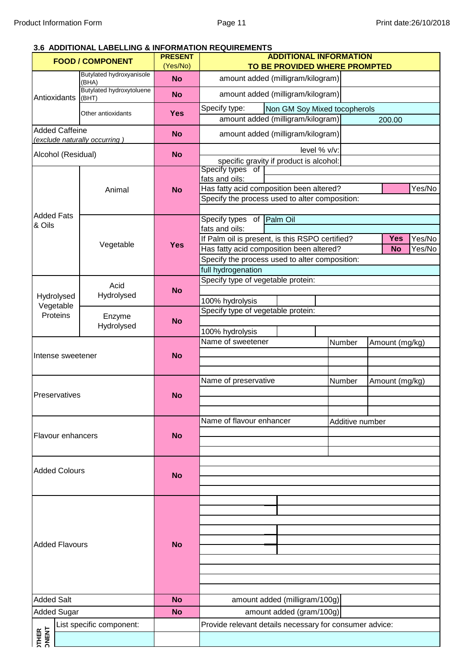#### **3.6 ADDITIONAL LABELLING & INFORMATION REQUIREMENTS**

| <b>FOOD / COMPONENT</b>  |                                   | <b>PRESENT</b> | <b>ADDITIONAL INFORMATION</b>                                                              |                 |                |        |  |
|--------------------------|-----------------------------------|----------------|--------------------------------------------------------------------------------------------|-----------------|----------------|--------|--|
|                          | Butylated hydroxyanisole          | (Yes/No)       | TO BE PROVIDED WHERE PROMPTED                                                              |                 |                |        |  |
|                          | (BHA)                             | <b>No</b>      | amount added (milligram/kilogram)                                                          |                 |                |        |  |
| Antioxidants             | Butylated hydroxytoluene<br>(BHT) | <b>No</b>      | amount added (milligram/kilogram)                                                          |                 |                |        |  |
|                          | Other antioxidants                | <b>Yes</b>     | Specify type:<br>Non GM Soy Mixed tocopherols<br>amount added (milligram/kilogram)         |                 |                |        |  |
| <b>Added Caffeine</b>    |                                   | <b>No</b>      | amount added (milligram/kilogram)                                                          |                 | 200.00         |        |  |
|                          | (exclude naturally occurring)     |                |                                                                                            | level % v/v:    |                |        |  |
| Alcohol (Residual)       |                                   | <b>No</b>      | specific gravity if product is alcohol:                                                    |                 |                |        |  |
|                          |                                   |                | Specify types of                                                                           |                 |                |        |  |
|                          |                                   |                | fats and oils:                                                                             |                 |                |        |  |
|                          | Animal                            | <b>No</b>      | Has fatty acid composition been altered?<br>Specify the process used to alter composition: |                 |                | Yes/No |  |
|                          |                                   |                |                                                                                            |                 |                |        |  |
| <b>Added Fats</b>        |                                   |                | Specify types of Palm Oil                                                                  |                 |                |        |  |
| & Oils                   |                                   |                | fats and oils:                                                                             |                 |                |        |  |
|                          |                                   |                | If Palm oil is present, is this RSPO certified?                                            |                 | <b>Yes</b>     | Yes/No |  |
|                          | Vegetable                         | <b>Yes</b>     | Has fatty acid composition been altered?                                                   |                 | <b>No</b>      | Yes/No |  |
|                          |                                   |                | Specify the process used to alter composition:                                             |                 |                |        |  |
|                          |                                   |                | full hydrogenation                                                                         |                 |                |        |  |
|                          | Acid                              |                | Specify type of vegetable protein:                                                         |                 |                |        |  |
| Hydrolysed               | Hydrolysed                        | <b>No</b>      |                                                                                            |                 |                |        |  |
| Vegetable                |                                   |                | 100% hydrolysis                                                                            |                 |                |        |  |
| Proteins                 | Enzyme<br>Hydrolysed              | <b>No</b>      | Specify type of vegetable protein:                                                         |                 |                |        |  |
|                          |                                   |                |                                                                                            |                 |                |        |  |
|                          |                                   |                | 100% hydrolysis                                                                            |                 |                |        |  |
|                          |                                   | <b>No</b>      | Name of sweetener                                                                          | Number          | Amount (mg/kg) |        |  |
| Intense sweetener        |                                   |                |                                                                                            |                 |                |        |  |
|                          |                                   |                |                                                                                            |                 |                |        |  |
|                          |                                   |                | Name of preservative                                                                       | Number          | Amount (mg/kg) |        |  |
|                          |                                   |                |                                                                                            |                 |                |        |  |
| Preservatives            |                                   | <b>No</b>      |                                                                                            |                 |                |        |  |
|                          |                                   |                |                                                                                            |                 |                |        |  |
|                          |                                   |                | Name of flavour enhancer                                                                   | Additive number |                |        |  |
| <b>Flavour enhancers</b> |                                   | <b>No</b>      |                                                                                            |                 |                |        |  |
|                          |                                   |                |                                                                                            |                 |                |        |  |
|                          |                                   |                |                                                                                            |                 |                |        |  |
| <b>Added Colours</b>     |                                   |                |                                                                                            |                 |                |        |  |
|                          |                                   | <b>No</b>      |                                                                                            |                 |                |        |  |
|                          |                                   |                |                                                                                            |                 |                |        |  |
|                          |                                   |                |                                                                                            |                 |                |        |  |
|                          |                                   |                |                                                                                            |                 |                |        |  |
|                          |                                   |                |                                                                                            |                 |                |        |  |
|                          |                                   |                |                                                                                            |                 |                |        |  |
| <b>Added Flavours</b>    |                                   | <b>No</b>      |                                                                                            |                 |                |        |  |
|                          |                                   |                |                                                                                            |                 |                |        |  |
|                          |                                   |                |                                                                                            |                 |                |        |  |
|                          |                                   |                |                                                                                            |                 |                |        |  |
|                          |                                   |                |                                                                                            |                 |                |        |  |
| <b>Added Salt</b>        |                                   | <b>No</b>      | amount added (milligram/100g)                                                              |                 |                |        |  |
|                          |                                   |                |                                                                                            |                 |                |        |  |
| <b>Added Sugar</b>       |                                   | <b>No</b>      | amount added (gram/100g)                                                                   |                 |                |        |  |
|                          | List specific component:          |                | Provide relevant details necessary for consumer advice:                                    |                 |                |        |  |
| <b>THER<br/> NENT</b>    |                                   |                |                                                                                            |                 |                |        |  |
|                          |                                   |                |                                                                                            |                 |                |        |  |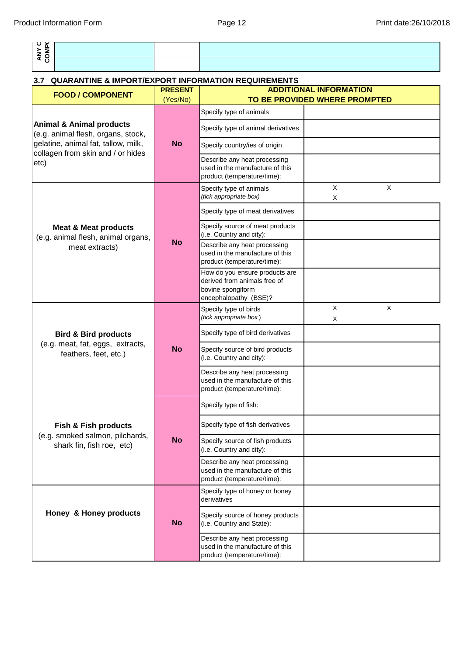| ANY C<br>COMPK                                                            |                            |                                                                                                              |                                                                |   |
|---------------------------------------------------------------------------|----------------------------|--------------------------------------------------------------------------------------------------------------|----------------------------------------------------------------|---|
| 3.7 QUARANTINE & IMPORT/EXPORT INFORMATION REQUIREMENTS                   |                            |                                                                                                              |                                                                |   |
| <b>FOOD / COMPONENT</b>                                                   | <b>PRESENT</b><br>(Yes/No) |                                                                                                              | <b>ADDITIONAL INFORMATION</b><br>TO BE PROVIDED WHERE PROMPTED |   |
|                                                                           |                            | Specify type of animals                                                                                      |                                                                |   |
| <b>Animal &amp; Animal products</b><br>(e.g. animal flesh, organs, stock, |                            | Specify type of animal derivatives                                                                           |                                                                |   |
| gelatine, animal fat, tallow, milk,                                       | <b>No</b>                  | Specify country/ies of origin                                                                                |                                                                |   |
| collagen from skin and / or hides<br>etc)                                 |                            | Describe any heat processing<br>used in the manufacture of this<br>product (temperature/time):               |                                                                |   |
|                                                                           |                            | Specify type of animals<br>(tick appropriate box)                                                            | X<br>X                                                         | X |
|                                                                           |                            | Specify type of meat derivatives                                                                             |                                                                |   |
| <b>Meat &amp; Meat products</b><br>(e.g. animal flesh, animal organs,     |                            | Specify source of meat products<br>(i.e. Country and city):                                                  |                                                                |   |
| meat extracts)                                                            | <b>No</b>                  | Describe any heat processing<br>used in the manufacture of this<br>product (temperature/time):               |                                                                |   |
|                                                                           |                            | How do you ensure products are<br>derived from animals free of<br>bovine spongiform<br>encephalopathy (BSE)? |                                                                |   |
|                                                                           |                            | Specify type of birds<br>(tick appropriate box)                                                              | X<br>X                                                         | X |
| <b>Bird &amp; Bird products</b>                                           |                            | Specify type of bird derivatives                                                                             |                                                                |   |
| (e.g. meat, fat, eggs, extracts,<br>feathers, feet, etc.)                 | <b>No</b>                  | Specify source of bird products<br>(i.e. Country and city):                                                  |                                                                |   |
|                                                                           |                            | Describe any heat processing<br>used in the manufacture of this<br>product (temperature/time):               |                                                                |   |
|                                                                           |                            | Specify type of fish:                                                                                        |                                                                |   |
| <b>Fish &amp; Fish products</b>                                           |                            | Specify type of fish derivatives                                                                             |                                                                |   |
| (e.g. smoked salmon, pilchards,<br>shark fin, fish roe, etc)              | <b>No</b>                  | Specify source of fish products<br>(i.e. Country and city):                                                  |                                                                |   |
|                                                                           |                            | Describe any heat processing<br>used in the manufacture of this<br>product (temperature/time):               |                                                                |   |
|                                                                           |                            | Specify type of honey or honey<br>derivatives                                                                |                                                                |   |
| Honey & Honey products                                                    | <b>No</b>                  | Specify source of honey products<br>(i.e. Country and State):                                                |                                                                |   |
|                                                                           |                            | Describe any heat processing<br>used in the manufacture of this<br>product (temperature/time):               |                                                                |   |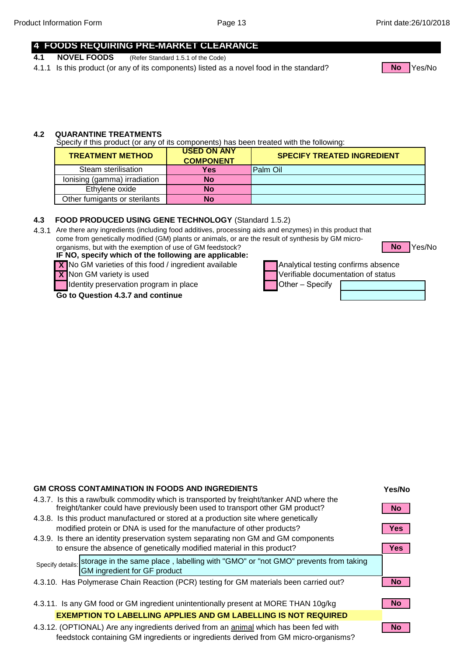#### **4 FOODS REQUIRING PRE-MARKET CLEARANCE**

- **4.1 NOVEL FOODS** (Refer Standard 1.5.1 of the Code)
- 4.1.1 Is this product (or any of its components) listed as a novel food in the standard? No No Yes/No



#### **4.2 QUARANTINE TREATMENTS**

Specify if this product (or any of its components) has been treated with the following:

| <b>TREATMENT METHOD</b>       | <b>USED ON ANY</b><br><b>COMPONENT</b> | <b>SPECIFY TREATED INGREDIENT</b> |
|-------------------------------|----------------------------------------|-----------------------------------|
| Steam sterilisation           | Yes                                    | <b>IPalm Oil</b>                  |
| Ionising (gamma) irradiation  | No                                     |                                   |
| Ethylene oxide                | Νo                                     |                                   |
| Other fumigants or sterilants | Nο                                     |                                   |

#### **4.3 FOOD PRODUCED USING GENE TECHNOLOGY** (Standard 1.5.2)

4.3.1 Are there any ingredients (including food additives, processing aids and enzymes) in this product that come from genetically modified (GM) plants or animals, or are the result of synthesis by GM microorganisms, but with the exemption of use of GM feedstock? **No**

IF NO, specify which of the following are applicable: **IF NO, specify which of the following are applicable:**

**X** No GM varieties of this food / ingredient available **Analytical testing confirms absence** 

**X** Non GM variety is used **Verifiable documentation of status** 

Identity preservation program in place  $\Box$  Other – Specify

#### **Go to Question 4.3.7 and continue**

Yes/No



| <b>GM CROSS CONTAMINATION IN FOODS AND INGREDIENTS</b>                                                                                                                       | Yes/No     |
|------------------------------------------------------------------------------------------------------------------------------------------------------------------------------|------------|
| 4.3.7. Is this a raw/bulk commodity which is transported by freight/tanker AND where the<br>freight/tanker could have previously been used to transport other GM product?    | <b>No</b>  |
| 4.3.8. Is this product manufactured or stored at a production site where genetically                                                                                         |            |
| modified protein or DNA is used for the manufacture of other products?                                                                                                       | <b>Yes</b> |
| 4.3.9. Is there an identity preservation system separating non GM and GM components                                                                                          |            |
| to ensure the absence of genetically modified material in this product?                                                                                                      | <b>Yes</b> |
| Specify details: storage in the same place, labelling with "GMO" or "not GMO" prevents from taking<br><b>GM</b> ingredient for GF product                                    |            |
| 4.3.10. Has Polymerase Chain Reaction (PCR) testing for GM materials been carried out?                                                                                       | <b>No</b>  |
| 4.3.11. Is any GM food or GM ingredient unintentionally present at MORE THAN 10g/kg                                                                                          | No.        |
| <b>EXEMPTION TO LABELLING APPLIES AND GM LABELLING IS NOT REQUIRED</b>                                                                                                       |            |
|                                                                                                                                                                              |            |
| 4.3.12. (OPTIONAL) Are any ingredients derived from an animal which has been fed with<br>feedstock containing GM ingredients or ingredients derived from GM micro-organisms? | No.        |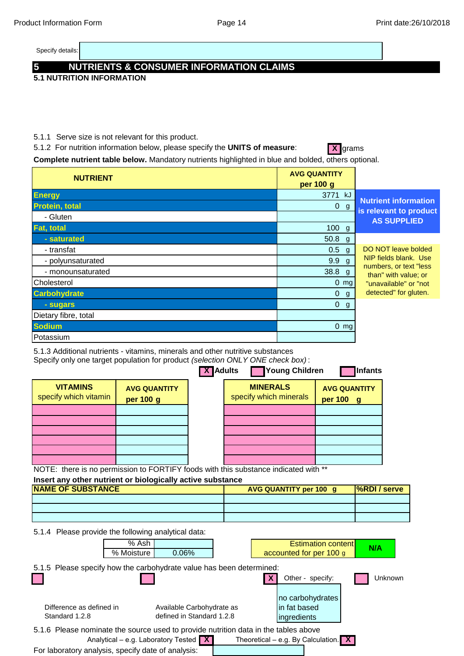Specify details:

## **5 NUTRIENTS & CONSUMER INFORMATION CLAIMS**

**5.1 NUTRITION INFORMATION**

#### 5.1.1 Serve size is not relevant for this product.

5.1.2 For nutrition information below, please specify the **UNITS of measure**: **X** grams

Complete nutrient table below. Mandatory nutrients highlighted in blue and bolded, others optional.

| <b>NUTRIENT</b>       | <b>AVG QUANTITY</b><br>per 100 g |                  |                                                       |
|-----------------------|----------------------------------|------------------|-------------------------------------------------------|
| <b>Energy</b>         | 3771 kJ                          |                  |                                                       |
| <b>Protein, total</b> | $\overline{0}$                   | $\sqrt{g}$       | <b>Nutrient information</b><br>is relevant to product |
| - Gluten              |                                  |                  | <b>AS SUPPLIED</b>                                    |
| <b>Fat, total</b>     | $100$ g                          |                  |                                                       |
| - saturated           | $50.8$ g                         |                  |                                                       |
| - transfat            | $0.5$ g                          |                  | DO NOT leave bolded                                   |
| - polyunsaturated     | 9.9 <sub>g</sub>                 |                  | NIP fields blank. Use                                 |
| - monounsaturated     | 38.8 g                           |                  | numbers, or text "less<br>than" with value; or        |
| Cholesterol           |                                  | $0 \, \text{mg}$ | "unavailable" or "not                                 |
| <b>Carbohydrate</b>   | $\overline{0}$                   | $\mathfrak{g}$   | detected" for gluten.                                 |
| - sugars              | $\overline{0}$                   | g                |                                                       |
| Dietary fibre, total  |                                  |                  |                                                       |
| <b>Sodium</b>         |                                  | $0 \, \text{mg}$ |                                                       |
| Potassium             |                                  |                  |                                                       |

5.1.3 Additional nutrients - vitamins, minerals and other nutritive substances

Specify only one target population for product *(selection ONLY ONE check box)* :

|                                          |                                  | <b>X</b> Adults | Young Children                                                                               | <b>Infants</b>                   |
|------------------------------------------|----------------------------------|-----------------|----------------------------------------------------------------------------------------------|----------------------------------|
| <b>VITAMINS</b><br>specify which vitamin | <b>AVG QUANTITY</b><br>per 100 g |                 | <b>MINERALS</b><br>specify which minerals                                                    | <b>AVG QUANTITY</b><br>per 100 g |
|                                          |                                  |                 |                                                                                              |                                  |
|                                          |                                  |                 |                                                                                              |                                  |
|                                          |                                  |                 |                                                                                              |                                  |
|                                          |                                  |                 |                                                                                              |                                  |
|                                          |                                  |                 |                                                                                              |                                  |
|                                          |                                  |                 | $N[ATF, then a is no combination to F[ATIFY] leads with the information in diototed with **$ |                                  |

NOTE: there is no permission to FORTIFY foods with this substance indicated with \*\*

#### **Insert any other nutrient or biologically active substance**

| <b>INAME OF SUBSTANCE</b> | <b>AVG QUANTITY per 100 g</b> | <b>S</b> <i>S</i> <b>S</b> |
|---------------------------|-------------------------------|----------------------------|
|                           |                               |                            |
|                           |                               |                            |
|                           |                               |                            |

5.1.4 Please provide the following analytical data:

| % Moisture                                                                          | % Ash<br>0.06%                                         | <b>Estimation content</b><br>accounted for per 100 g | N/A            |
|-------------------------------------------------------------------------------------|--------------------------------------------------------|------------------------------------------------------|----------------|
| 5.1.5 Please specify how the carbohydrate value has been determined:                |                                                        | Other - specify:                                     | <b>Unknown</b> |
| Difference as defined in<br>Standard 1.2.8                                          | Available Carbohydrate as<br>defined in Standard 1.2.8 | no carbohydrates<br>in fat based<br>ingredients      |                |
| 5.1.6 Please nominate the source used to provide nutrition data in the tables above | Analytical – e.g. Laboratory Tested X                  | Theoretical – e.g. By Calculation. $\mathbf{X}$      |                |
| For laboratory analysis, specify date of analysis:                                  |                                                        |                                                      |                |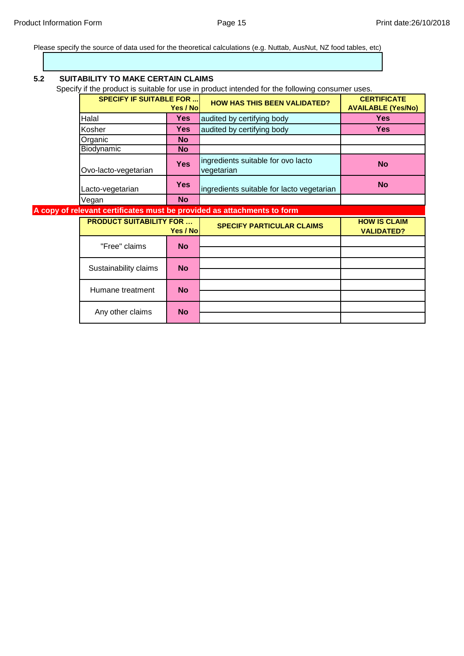Please specify the source of data used for the theoretical calculations (e.g. Nuttab, AusNut, NZ food tables, etc)

#### **5.2 SUITABILITY TO MAKE CERTAIN CLAIMS**

Specify if the product is suitable for use in product intended for the following consumer uses.

| <b>SPECIFY IF SUITABLE FOR </b><br>Yes / Nol |            | <b>HOW HAS THIS BEEN VALIDATED?</b>                                     | <b>CERTIFICATE</b><br><b>AVAILABLE (Yes/No)</b> |
|----------------------------------------------|------------|-------------------------------------------------------------------------|-------------------------------------------------|
| Halal                                        | <b>Yes</b> | audited by certifying body                                              | <b>Yes</b>                                      |
| Kosher                                       | <b>Yes</b> | audited by certifying body                                              | <b>Yes</b>                                      |
| Organic                                      | <b>No</b>  |                                                                         |                                                 |
| Biodynamic                                   | <b>No</b>  |                                                                         |                                                 |
| Ovo-lacto-vegetarian                         | <b>Yes</b> | ingredients suitable for ovo lacto<br>vegetarian                        | <b>No</b>                                       |
| Lacto-vegetarian                             | <b>Yes</b> | ingredients suitable for lacto vegetarian                               | <b>No</b>                                       |
| Vegan                                        | <b>No</b>  |                                                                         |                                                 |
|                                              |            | A copy of relevant certificates must be provided as attachments to form |                                                 |
| <b>PRODUCT SUITABILITY FOR </b>              | Yes / No   | <b>SPECIFY PARTICULAR CLAIMS</b>                                        | <b>HOW IS CLAIM</b><br><b>VALIDATED?</b>        |
| "Free" claims                                | <b>No</b>  |                                                                         |                                                 |
| Sustainability claims                        | <b>No</b>  |                                                                         |                                                 |
| Humane treatment                             | <b>No</b>  |                                                                         |                                                 |
| Any other claims                             | <b>No</b>  |                                                                         |                                                 |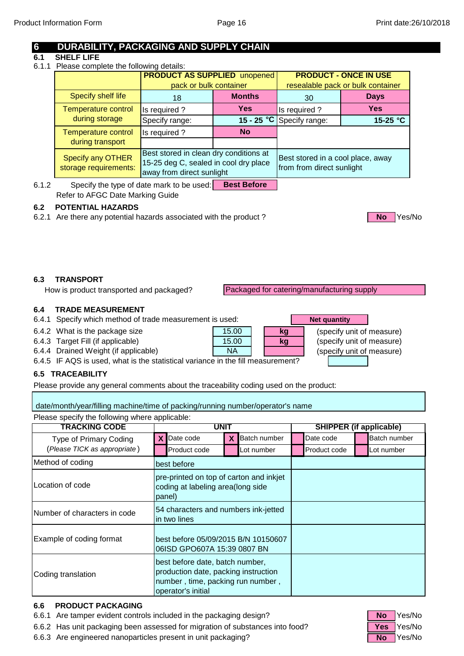#### **6 DURABILITY, PACKAGING AND SUPPLY CHAIN**

#### **6.1 SHELF LIFE**

6.1.1 Please complete the following details:

|                                                   | <b>PRODUCT AS SUPPLIED unopened</b><br>pack or bulk container                                                |               | <b>PRODUCT - ONCE IN USE</b><br>resealable pack or bulk container |             |  |
|---------------------------------------------------|--------------------------------------------------------------------------------------------------------------|---------------|-------------------------------------------------------------------|-------------|--|
| Specify shelf life                                | 18                                                                                                           | <b>Months</b> | 30                                                                | <b>Days</b> |  |
| Temperature control                               | Is required?                                                                                                 | <b>Yes</b>    | Is required?                                                      | Yes         |  |
| during storage                                    | Specify range:                                                                                               | $15 - 25 °C$  | Specify range:                                                    | 15-25 °C    |  |
| <b>Temperature control</b>                        | Is required?                                                                                                 | <b>No</b>     |                                                                   |             |  |
| during transport                                  |                                                                                                              |               |                                                                   |             |  |
| <b>Specify any OTHER</b><br>storage requirements: | Best stored in clean dry conditions at<br>15-25 deg C, sealed in cool dry place<br>away from direct sunlight |               | Best stored in a cool place, away<br>from from direct sunlight    |             |  |

Packaged for catering/manufacturing supply

**Net quantity**

6.1.2 Specify the type of date mark to be used: Refer to AFGC Date Marking Guide **Best Before**

#### **6.2 POTENTIAL HAZARDS**

6.2.1 Are there any potential hazards associated with the product ? **No No No Yes/No** 



#### **6.3 TRANSPORT**

How is product transported and packaged?

#### **6.4 TRADE MEASUREMENT**

6.4.1 Specify which method of trade measurement is used:

- 0 6.4.2 What is the package size (specify unit of measure)
- 0 6.4.3 Target Fill (if applicable) (specify unit of measure)
- 6.4.4 Drained Weight (if applicable) **CALL SEALL SEALL SEALL AT A CONSTANT** (specify unit of measure)
- 6.4.5 IF AQS is used, what is the statistical variance in the fill measurement?

#### **6.5 TRACEABILITY**

Please provide any general comments about the traceability coding used on the product:

date/month/year/filling machine/time of packing/running number/operator's name

Please specify the following where applicable:

| <b>TRACKING CODE</b>          |  | UNIT                                                                                                                               |              |              | <b>SHIPPER (if applicable)</b> |              |  |                     |
|-------------------------------|--|------------------------------------------------------------------------------------------------------------------------------------|--------------|--------------|--------------------------------|--------------|--|---------------------|
| <b>Type of Primary Coding</b> |  | $\mathbf{x}$<br>Date code                                                                                                          | $\mathbf{X}$ | Batch number |                                | Date code    |  | <b>Batch number</b> |
| (Please TICK as appropriate)  |  | Product code                                                                                                                       |              | Lot number   |                                | Product code |  | Lot number          |
| Method of coding              |  | best before                                                                                                                        |              |              |                                |              |  |                     |
| Location of code              |  | pre-printed on top of carton and inkjet<br>coding at labeling area(long side<br>panel)                                             |              |              |                                |              |  |                     |
| Number of characters in code  |  | 54 characters and numbers ink-jetted<br>in two lines                                                                               |              |              |                                |              |  |                     |
| Example of coding format      |  | best before 05/09/2015 B/N 10150607<br>06ISD GPO607A 15:39 0807 BN                                                                 |              |              |                                |              |  |                     |
| Coding translation            |  | best before date, batch number,<br>production date, packing instruction<br>number, time, packing run number,<br>operator's initial |              |              |                                |              |  |                     |

15.00 **kg** 15.00 **kg** NA

#### **6.6 PRODUCT PACKAGING**

6.6.1 Are tamper evident controls included in the packaging design? No **No** Yes/No

- 6.6.2 Has unit packaging been assessed for migration of substances into food? **Yes** Yes/No
- 6.6.3 Are engineered nanoparticles present in unit packaging? **The Contact Studies Contact Studies** The Ves/No

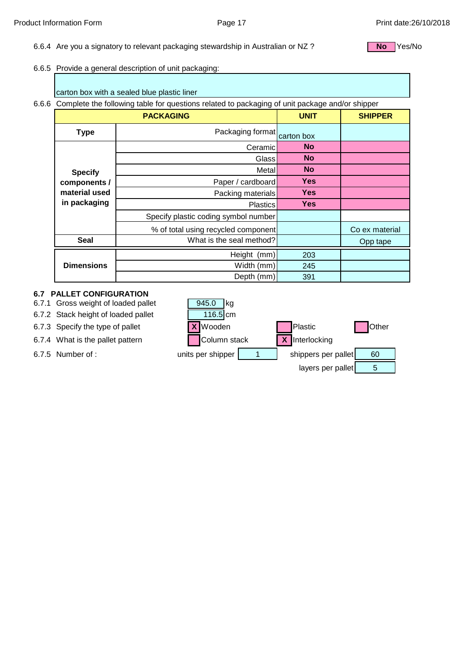**No**

#### 6.6.4 Are you a signatory to relevant packaging stewardship in Australian or NZ ?

# 6.6.5 Provide a general description of unit packaging:

|       | carton box with a sealed blue plastic liner                                                    |                                      |             |                |  |  |  |  |
|-------|------------------------------------------------------------------------------------------------|--------------------------------------|-------------|----------------|--|--|--|--|
| 6.6.6 | Complete the following table for questions related to packaging of unit package and/or shipper |                                      |             |                |  |  |  |  |
|       |                                                                                                | <b>PACKAGING</b>                     | <b>UNIT</b> | <b>SHIPPER</b> |  |  |  |  |
|       | <b>Type</b>                                                                                    | Packaging format carton box          |             |                |  |  |  |  |
|       |                                                                                                | Ceramic                              | <b>No</b>   |                |  |  |  |  |
|       |                                                                                                | Glass                                | <b>No</b>   |                |  |  |  |  |
|       | <b>Specify</b>                                                                                 | Metal                                | <b>No</b>   |                |  |  |  |  |
|       | components /                                                                                   | Paper / cardboard                    | <b>Yes</b>  |                |  |  |  |  |
|       | material used                                                                                  | Packing materials                    | <b>Yes</b>  |                |  |  |  |  |
|       | in packaging                                                                                   | <b>Plastics</b>                      | <b>Yes</b>  |                |  |  |  |  |
|       |                                                                                                | Specify plastic coding symbol number |             |                |  |  |  |  |
|       |                                                                                                | % of total using recycled component  |             | Co ex material |  |  |  |  |
|       | <b>Seal</b>                                                                                    | What is the seal method?             |             | Opp tape       |  |  |  |  |
|       |                                                                                                | Height (mm)                          | 203         |                |  |  |  |  |
|       | <b>Dimensions</b>                                                                              | Width (mm)                           | 245         |                |  |  |  |  |
|       |                                                                                                | Depth (mm)                           | 391         |                |  |  |  |  |

#### **6.7 PALLET CONFIGURATION**

- 6.7.1 Gross weight of loaded pallet
- 6.7.2 Stack height of loaded pallet
- 6.7.3 Specify the type of pallet
- 6.7.4 What is the pallet pattern
- 6.7.5 Number of : units per pallet per pallet per part is per part of the pallet per part is per part in the p

| 945.0<br>kq<br>116.5 cm |                       |       |
|-------------------------|-----------------------|-------|
| <b>X</b> Wooden         | Plastic               | Other |
| Column stack            | <b>X</b> Interlocking |       |
| inits per shipper       | shippers per pallet   | 60    |
|                         | layers per pallet     |       |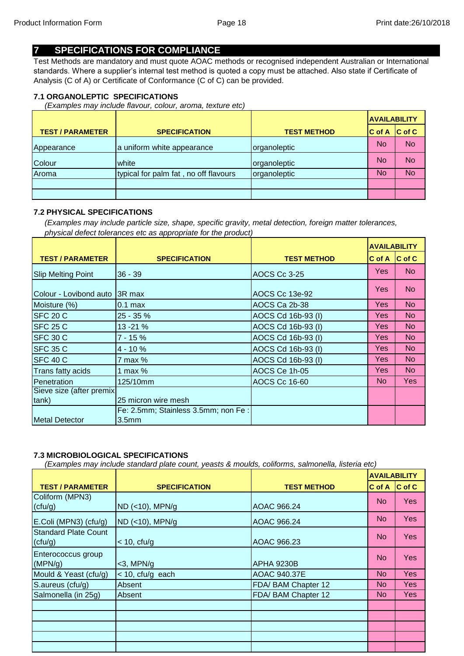### **7 SPECIFICATIONS FOR COMPLIANCE**

Test Methods are mandatory and must quote AOAC methods or recognised independent Australian or International standards. Where a supplier's internal test method is quoted a copy must be attached. Also state if Certificate of Analysis (C of A) or Certificate of Conformance (C of C) can be provided.

#### **7.1 ORGANOLEPTIC SPECIFICATIONS**

*(Examples may include flavour, colour, aroma, texture etc)*

|                         |                                       |                    | <b>AVAILABILITY</b> |                     |
|-------------------------|---------------------------------------|--------------------|---------------------|---------------------|
| <b>TEST / PARAMETER</b> | <b>SPECIFICATION</b>                  | <b>TEST METHOD</b> | $C$ of $A$          | $ C \text{ of } C $ |
| Appearance              | a uniform white appearance            | organoleptic       | <b>No</b>           | No                  |
| Colour                  | white                                 | organoleptic       | <b>No</b>           | No                  |
| Aroma                   | typical for palm fat, no off flavours | organoleptic       | No                  | No                  |
|                         |                                       |                    |                     |                     |
|                         |                                       |                    |                     |                     |

#### **7.2 PHYSICAL SPECIFICATIONS**

*(Examples may include particle size, shape, specific gravity, metal detection, foreign matter tolerances, physical defect tolerances etc as appropriate for the product)*

|                                |                                     |                    | <b>AVAILABILITY</b> |                     |
|--------------------------------|-------------------------------------|--------------------|---------------------|---------------------|
| <b>TEST / PARAMETER</b>        | <b>SPECIFICATION</b>                | <b>TEST METHOD</b> | C of A              | $ C \text{ of } C $ |
| <b>Slip Melting Point</b>      | $36 - 39$                           | AOCS Cc 3-25       | <b>Yes</b>          | <b>No</b>           |
| Colour - Lovibond auto 13R max |                                     | AOCS Cc 13e-92     | Yes                 | <b>No</b>           |
| Moisture (%)                   | $0.1$ max                           | AOCS Ca 2b-38      | Yes                 | <b>No</b>           |
| SFC 20 C                       | 25 - 35 %                           | AOCS Cd 16b-93 (I) | Yes                 | N <sub>o</sub>      |
| <b>SFC 25 C</b>                | 13 - 21 %                           | AOCS Cd 16b-93 (I) | Yes                 | N <sub>o</sub>      |
| <b>SFC 30 C</b>                | $7 - 15%$                           | AOCS Cd 16b-93 (I) | Yes                 | <b>No</b>           |
| <b>SFC 35 C</b>                | $4 - 10%$                           | AOCS Cd 16b-93 (I) | Yes                 | N <sub>o</sub>      |
| SFC 40 C                       | $7$ max $%$                         | AOCS Cd 16b-93 (I) | Yes                 | N <sub>o</sub>      |
| Trans fatty acids              | 1 max $%$                           | AOCS Ce 1h-05      | Yes                 | N <sub>o</sub>      |
| Penetration                    | 125/10mm                            | AOCS Cc 16-60      | <b>No</b>           | <b>Yes</b>          |
| Sieve size (after premix       |                                     |                    |                     |                     |
| tank)                          | 25 micron wire mesh                 |                    |                     |                     |
|                                | Fe: 2.5mm; Stainless 3.5mm; non Fe: |                    |                     |                     |
| <b>IMetal Detector</b>         | 3.5 <sub>mm</sub>                   |                    |                     |                     |

#### **7.3 MICROBIOLOGICAL SPECIFICATIONS**

*(Examples may include standard plate count, yeasts & moulds, coliforms, salmonella, listeria etc)*

|                                        |                      |                     | <b>AVAILABILITY</b> |            |
|----------------------------------------|----------------------|---------------------|---------------------|------------|
| <b>TEST / PARAMETER</b>                | <b>SPECIFICATION</b> | <b>TEST METHOD</b>  | C of A              | C of C     |
| Coliform (MPN3)<br>(ctu/g)             | ND (<10), MPN/g      | AOAC 966.24         | <b>No</b>           | <b>Yes</b> |
| E.Coli (MPN3) (cfu/g)                  | $ND$ (<10), MPN/g    | AOAC 966.24         | <b>No</b>           | <b>Yes</b> |
| <b>Standard Plate Count</b><br>(ctu/g) | $<$ 10, cfu/g        | AOAC 966.23         | <b>No</b>           | <b>Yes</b> |
| Enterococcus group<br>(MPN/g)          | $<$ 3, MPN/g         | <b>APHA 9230B</b>   | <b>No</b>           | <b>Yes</b> |
| Mould & Yeast (cfu/g)                  | $<$ 10, cfu/g each   | AOAC 940.37E        | <b>No</b>           | Yes        |
| S.aureus (cfu/g)                       | Absent               | FDA/ BAM Chapter 12 | No.                 | <b>Yes</b> |
| Salmonella (in 25g)                    | Absent               | FDA/ BAM Chapter 12 | No.                 | Yes        |
|                                        |                      |                     |                     |            |
|                                        |                      |                     |                     |            |
|                                        |                      |                     |                     |            |
|                                        |                      |                     |                     |            |
|                                        |                      |                     |                     |            |